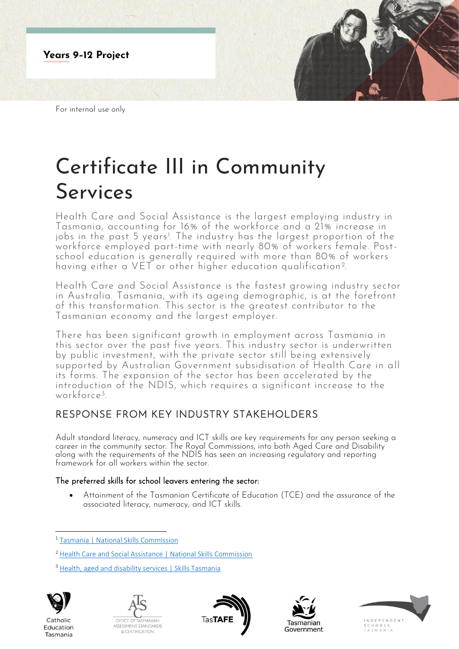

For internal use only

# Certificate III in Community Services

Health Care and Social Assistance is the largest employing industry in Tasmania, accounting for 16% of the workforce and a 21% increase in jobs in the past 5 years<sup>1</sup>. The industry has the largest proportion of the workforce employed part-time with nearly 80% of workers female. Postschool education is generally required with more than 80% of workers having either a VET or other higher education qualification<sup>2</sup>. .

Health Care and Social Assistance is the fastest growing industry sector in Australia. Tasmania, with its ageing demographic, is at the forefront of this transformation. This sector is the greatest contributor to the Tasmanian economy and the largest employer.

There has been significant growth in employment across Tasmania in this sector over the past five years. This industry sector is underwritten by public investment, with the private sector still being extensively supported by Australian Government subsidisation of Health Care in all its forms. The expansion of the sector has been accelerated by the introduction of the NDIS, which requires a significant increase to the workforce<sup>3</sup> .

# RESPONSE FROM KEY INDUSTRY STAKEHOLDERS

Adult standard literacy, numeracy and ICT skills are key requirements for any person seeking a career in the community sector. The Royal Commissions, into both Aged Care and Disability along with the requirements of the NDIS has seen an increasing regulatory and reporting framework for all workers within the sector.

## The preferred skills for school leavers entering the sector:

• Attainment of the Tasmanian Certificate of Education (TCE) and the assurance of the associated literacy, numeracy, and ICT skills.

<sup>&</sup>lt;sup>3</sup> [Health, aged and disability services | Skills Tasmania](https://www.skills.tas.gov.au/about/the_tasmanian_workforce/industry_information_and_profiles/health,_aged_and_disability_services)



Catholic

Education

Tasmania









<sup>1</sup> [Tasmania | National Skills Commission](https://www.nationalskillscommission.gov.au/tasmania-0)

<sup>2</sup> [Health Care and Social Assistance | National Skills Commission](https://www.nationalskillscommission.gov.au/health-care-and-social-assistance-0)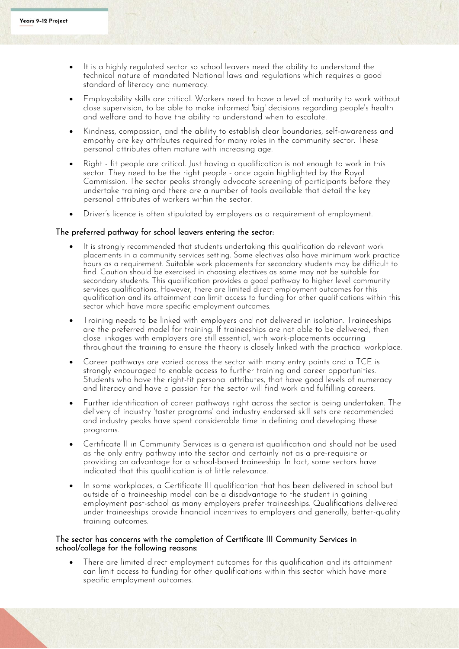- It is a highly regulated sector so school leavers need the ability to understand the technical nature of mandated National laws and regulations which requires a good standard of literacy and numeracy.
- Employability skills are critical. Workers need to have a level of maturity to work without close supervision, to be able to make informed 'big' decisions regarding people's health and welfare and to have the ability to understand when to escalate.
- Kindness, compassion, and the ability to establish clear boundaries, self-awareness and empathy are key attributes required for many roles in the community sector. These personal attributes often mature with increasing age.
- Right fit people are critical. Just having a qualification is not enough to work in this sector. They need to be the right people - once again highlighted by the Royal Commission. The sector peaks strongly advocate screening of participants before they undertake training and there are a number of tools available that detail the key personal attributes of workers within the sector.
- Driver's licence is often stipulated by employers as a requirement of employment.

### The preferred pathway for school leavers entering the sector:

- It is strongly recommended that students undertaking this qualification do relevant work placements in a community services setting. Some electives also have minimum work practice hours as a requirement. Suitable work placements for secondary students may be difficult to find. Caution should be exercised in choosing electives as some may not be suitable for secondary students. This qualification provides a good pathway to higher level community services qualifications. However, there are limited direct employment outcomes for this qualification and its attainment can limit access to funding for other qualifications within this sector which have more specific employment outcomes.
- Training needs to be linked with employers and not delivered in isolation. Traineeships are the preferred model for training. If traineeships are not able to be delivered, then close linkages with employers are still essential, with work-placements occurring throughout the training to ensure the theory is closely linked with the practical workplace.
- Career pathways are varied across the sector with many entry points and a TCE is strongly encouraged to enable access to further training and career opportunities. Students who have the right-fit personal attributes, that have good levels of numeracy and literacy and have a passion for the sector will find work and fulfilling careers.
- Further identification of career pathways right across the sector is being undertaken. The delivery of industry 'taster programs' and industry endorsed skill sets are recommended and industry peaks have spent considerable time in defining and developing these programs.
- Certificate II in Community Services is a generalist qualification and should not be used as the only entry pathway into the sector and certainly not as a pre-requisite or providing an advantage for a school-based traineeship. In fact, some sectors have indicated that this qualification is of little relevance.
- In some workplaces, a Certificate III qualification that has been delivered in school but outside of a traineeship model can be a disadvantage to the student in gaining employment post-school as many employers prefer traineeships. Qualifications delivered under traineeships provide financial incentives to employers and generally, better-quality training outcomes.

#### The sector has concerns with the completion of Certificate III Community Services in school/college for the following reasons:

• There are limited direct employment outcomes for this qualification and its attainment can limit access to funding for other qualifications within this sector which have more specific employment outcomes.